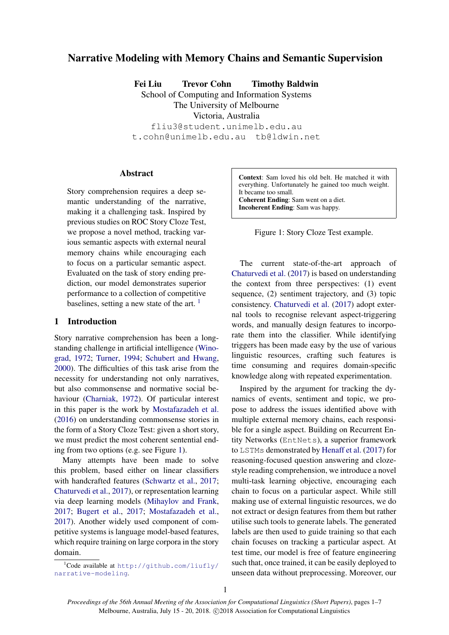# Narrative Modeling with Memory Chains and Semantic Supervision

Fei Liu Trevor Cohn Timothy Baldwin

School of Computing and Information Systems

The University of Melbourne

Victoria, Australia fliu3@student.unimelb.edu.au

t.cohn@unimelb.edu.au tb@ldwin.net

## Abstract

Story comprehension requires a deep semantic understanding of the narrative, making it a challenging task. Inspired by previous studies on ROC Story Cloze Test, we propose a novel method, tracking various semantic aspects with external neural memory chains while encouraging each to focus on a particular semantic aspect. Evaluated on the task of story ending prediction, our model demonstrates superior performance to a collection of competitive baselines, setting a new state of the art.  $\frac{1}{1}$  $\frac{1}{1}$  $\frac{1}{1}$ 

### 1 Introduction

Story narrative comprehension has been a longstanding challenge in artificial intelligence [\(Wino](#page-6-0)[grad,](#page-6-0) [1972;](#page-6-0) [Turner,](#page-6-1) [1994;](#page-6-1) [Schubert and Hwang,](#page-6-2) [2000\)](#page-6-2). The difficulties of this task arise from the necessity for understanding not only narratives, but also commonsense and normative social behaviour [\(Charniak,](#page-5-0) [1972\)](#page-5-0). Of particular interest in this paper is the work by [Mostafazadeh et al.](#page-5-1) [\(2016\)](#page-5-1) on understanding commonsense stories in the form of a Story Cloze Test: given a short story, we must predict the most coherent sentential ending from two options (e.g. see Figure [1\)](#page-0-1).

Many attempts have been made to solve this problem, based either on linear classifiers with handcrafted features [\(Schwartz et al.,](#page-6-3) [2017;](#page-6-3) [Chaturvedi et al.,](#page-5-2) [2017\)](#page-5-2), or representation learning via deep learning models [\(Mihaylov and Frank,](#page-5-3) [2017;](#page-5-3) [Bugert et al.,](#page-5-4) [2017;](#page-5-4) [Mostafazadeh et al.,](#page-6-4) [2017\)](#page-6-4). Another widely used component of competitive systems is language model-based features, which require training on large corpora in the story domain.

Context: Sam loved his old belt. He matched it with everything. Unfortunately he gained too much weight. It became too small. Coherent Ending: Sam went on a diet. Incoherent Ending: Sam was happy.

<span id="page-0-1"></span>Figure 1: Story Cloze Test example.

The current state-of-the-art approach of [Chaturvedi et al.](#page-5-2) [\(2017\)](#page-5-2) is based on understanding the context from three perspectives: (1) event sequence, (2) sentiment trajectory, and (3) topic consistency. [Chaturvedi et al.](#page-5-2) [\(2017\)](#page-5-2) adopt external tools to recognise relevant aspect-triggering words, and manually design features to incorporate them into the classifier. While identifying triggers has been made easy by the use of various linguistic resources, crafting such features is time consuming and requires domain-specific knowledge along with repeated experimentation.

Inspired by the argument for tracking the dynamics of events, sentiment and topic, we propose to address the issues identified above with multiple external memory chains, each responsible for a single aspect. Building on Recurrent Entity Networks (EntNets), a superior framework to LSTMs demonstrated by [Henaff et al.](#page-5-5) [\(2017\)](#page-5-5) for reasoning-focused question answering and clozestyle reading comprehension, we introduce a novel multi-task learning objective, encouraging each chain to focus on a particular aspect. While still making use of external linguistic resources, we do not extract or design features from them but rather utilise such tools to generate labels. The generated labels are then used to guide training so that each chain focuses on tracking a particular aspect. At test time, our model is free of feature engineering such that, once trained, it can be easily deployed to unseen data without preprocessing. Moreover, our

<span id="page-0-0"></span><sup>&</sup>lt;sup>1</sup>Code available at [http://github.com/liufly/](http://github.com/liufly/narrative-modeling) [narrative-modeling](http://github.com/liufly/narrative-modeling).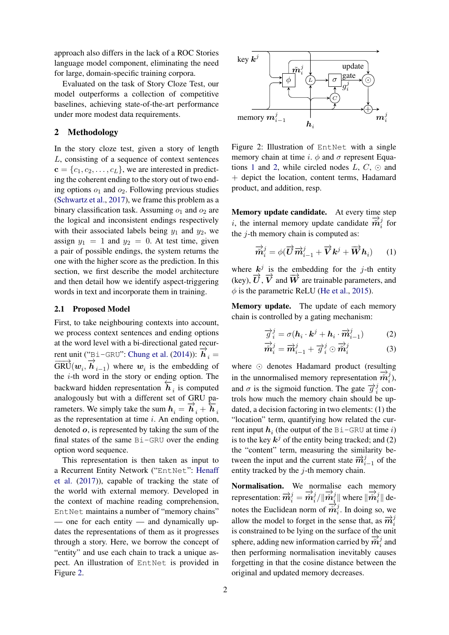approach also differs in the lack of a ROC Stories language model component, eliminating the need for large, domain-specific training corpora.

Evaluated on the task of Story Cloze Test, our model outperforms a collection of competitive baselines, achieving state-of-the-art performance under more modest data requirements.

## 2 Methodology

In the story cloze test, given a story of length L, consisting of a sequence of context sentences  ${\bf c} = \{c_1, c_2, \ldots, c_L\}$ , we are interested in predicting the coherent ending to the story out of two ending options  $o_1$  and  $o_2$ . Following previous studies [\(Schwartz et al.,](#page-6-3) [2017\)](#page-6-3), we frame this problem as a binary classification task. Assuming  $o_1$  and  $o_2$  are the logical and inconsistent endings respectively with their associated labels being  $y_1$  and  $y_2$ , we assign  $y_1 = 1$  and  $y_2 = 0$ . At test time, given a pair of possible endings, the system returns the one with the higher score as the prediction. In this section, we first describe the model architecture and then detail how we identify aspect-triggering words in text and incorporate them in training.

#### 2.1 Proposed Model

First, to take neighbouring contexts into account, we process context sentences and ending options at the word level with a bi-directional gated recur-rent unit ("Bi-GRU": [Chung et al.](#page-5-6) [\(2014\)](#page-5-6)):  $\vec{h}_i$  =  $\overrightarrow{GRU}(w_i, \overrightarrow{h}_{i-1})$  where  $w_i$  is the embedding of the  $i$ -th word in the story or ending option. The backward hidden representation  $\overline{h}_i$  is computed analogously but with a different set of GRU parameters. We simply take the sum  $h_i = \overrightarrow{h}_i + \overleftarrow{h}_i$ as the representation at time  $i$ . An ending option, denoted o, is represented by taking the sum of the final states of the same Bi-GRU over the ending option word sequence.

This representation is then taken as input to a Recurrent Entity Network ("EntNet": [Henaff](#page-5-5) [et al.](#page-5-5) [\(2017\)](#page-5-5)), capable of tracking the state of the world with external memory. Developed in the context of machine reading comprehension, EntNet maintains a number of "memory chains" — one for each entity — and dynamically updates the representations of them as it progresses through a story. Here, we borrow the concept of "entity" and use each chain to track a unique aspect. An illustration of EntNet is provided in Figure [2.](#page-1-0)



<span id="page-1-0"></span>Figure 2: Illustration of EntNet with a single memory chain at time i.  $\phi$  and  $\sigma$  represent Equa-tions [1](#page-1-1) and [2,](#page-1-2) while circled nodes  $L, C, \odot$  and + depict the location, content terms, Hadamard product, and addition, resp.

Memory update candidate. At every time step i, the internal memory update candidate  $\overrightarrow{m}_{i}^{j}$  $\frac{J}{i}$  for the  $j$ -th memory chain is computed as:

<span id="page-1-1"></span>
$$
\overrightarrow{\widetilde{\boldsymbol{m}}}_{i}^{j} = \phi(\overrightarrow{\boldsymbol{U}}\overrightarrow{\boldsymbol{m}}_{i-1}^{j} + \overrightarrow{\boldsymbol{V}}\boldsymbol{k}^{j} + \overrightarrow{\boldsymbol{W}}\boldsymbol{h}_{i}) \qquad (1)
$$

where  $k^j$  is the embedding for the j-th entity (key),  $\overrightarrow{U}$ ,  $\overrightarrow{V}$  and  $\overrightarrow{W}$  are trainable parameters, and  $\phi$  is the parametric ReLU [\(He et al.,](#page-5-7) [2015\)](#page-5-7).

Memory update. The update of each memory chain is controlled by a gating mechanism:

<span id="page-1-2"></span>
$$
\overrightarrow{g}_i^j = \sigma(\boldsymbol{h}_i \cdot \boldsymbol{k}^j + \boldsymbol{h}_i \cdot \overrightarrow{m}_{i-1}^j)
$$
 (2)

$$
\overrightarrow{\mathbf{m}}_{i}^{j} = \overrightarrow{\mathbf{m}}_{i-1}^{j} + \overrightarrow{g}_{i}^{j} \odot \overrightarrow{\mathbf{m}}_{i}^{j}
$$
 (3)

where  $\odot$  denotes Hadamard product (resulting in the unnormalised memory representation  $\stackrel{\cdots}{\stackrel{\rightarrow}{m}}_{i}^{j}$  $\binom{j}{i}$ and  $\sigma$  is the sigmoid function. The gate  $\overrightarrow{g}_i^j$  $\frac{J}{i}$  controls how much the memory chain should be updated, a decision factoring in two elements: (1) the "location" term, quantifying how related the current input  $h_i$  (the output of the Bi-GRU at time i) is to the key  $k^j$  of the entity being tracked; and (2) the "content" term, measuring the similarity between the input and the current state  $\vec{m}_{i-1}^j$  of the entity tracked by the  $j$ -th memory chain.

Normalisation. We normalise each memory representation:  $\vec{m}_i^j = \vec{m}_i^j$  $\frac{j}{i}/\|\overset{\rightarrow}{m}_{i}^{j}\rangle$  $\frac{i}{i}$  where  $\|\vec{m}_{i}^{j}\|$  $\frac{\partial}{\partial i}$ || denotes the Euclidean norm of  $\frac{-i}{\hat{m}_{i}^{j}}$  $i<sub>i</sub>$ . In doing so, we allow the model to forget in the sense that, as  $\overrightarrow{m}_{i}^{j}$ is constrained to be lying on the surface of the unit sphere, adding new information carried by  $\vec{m}_{i}^{j}$  $\frac{\jmath}{i}$  and then performing normalisation inevitably causes forgetting in that the cosine distance between the original and updated memory decreases.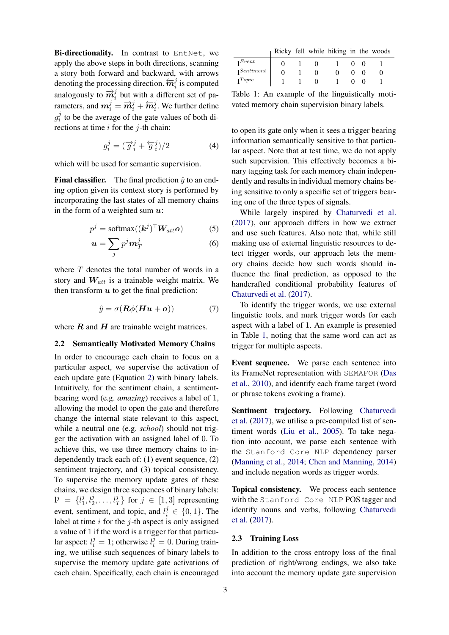Bi-directionality. In contrast to EntNet, we apply the above steps in both directions, scanning a story both forward and backward, with arrows denoting the processing direction.  $\overleftarrow{m}_i^j$  is computed analogously to  $\overrightarrow{m}_i^j$  but with a different set of parameters, and  $m_i^j = \overrightarrow{m}_i^j + \overleftarrow{m}_i^j$ . We further define  $g_i^j$  $i$  to be the average of the gate values of both directions at time  $i$  for the  $j$ -th chain:

$$
g_i^j = (\overrightarrow{g}_i^j + \overleftarrow{g}_i^j)/2 \tag{4}
$$

which will be used for semantic supervision.

**Final classifier.** The final prediction  $\hat{y}$  to an ending option given its context story is performed by incorporating the last states of all memory chains in the form of a weighted sum  $u$ :

$$
p^j = \text{softmax}((\mathbf{k}^j)^\top \mathbf{W}_{att} \mathbf{o}) \tag{5}
$$

$$
\mathbf{u} = \sum_{j} p^{j} \mathbf{m}_{T}^{j} \tag{6}
$$

where  $T$  denotes the total number of words in a story and  $W_{att}$  is a trainable weight matrix. We then transform  $u$  to get the final prediction:

$$
\hat{y} = \sigma(\boldsymbol{R}\phi(\boldsymbol{H}\boldsymbol{u}+\boldsymbol{o}))\tag{7}
$$

where  $R$  and  $H$  are trainable weight matrices.

# 2.2 Semantically Motivated Memory Chains

In order to encourage each chain to focus on a particular aspect, we supervise the activation of each update gate (Equation [2\)](#page-1-2) with binary labels. Intuitively, for the sentiment chain, a sentimentbearing word (e.g. *amazing*) receives a label of 1, allowing the model to open the gate and therefore change the internal state relevant to this aspect, while a neutral one (e.g. *school*) should not trigger the activation with an assigned label of 0. To achieve this, we use three memory chains to independently track each of: (1) event sequence, (2) sentiment trajectory, and (3) topical consistency. To supervise the memory update gates of these chains, we design three sequences of binary labels:  $l^j = \{l_1^j$  $\{j_1, l_2^j, \ldots, l_T^j\}$  for  $j \in [1, 3]$  representing event, sentiment, and topic, and  $l_i^j \in \{0, 1\}$ . The label at time  $i$  for the  $j$ -th aspect is only assigned a value of 1 if the word is a trigger for that particular aspect:  $l_i^j = 1$ ; otherwise  $l_i^j = 0$ . During training, we utilise such sequences of binary labels to supervise the memory update gate activations of each chain. Specifically, each chain is encouraged

|                      | Ricky fell while hiking in the woods |  |  |  |
|----------------------|--------------------------------------|--|--|--|
| Event                |                                      |  |  |  |
| $1$ <i>Sentiment</i> |                                      |  |  |  |
| $1^{Topic}$          |                                      |  |  |  |

<span id="page-2-0"></span>Table 1: An example of the linguistically motivated memory chain supervision binary labels.

<span id="page-2-2"></span>to open its gate only when it sees a trigger bearing information semantically sensitive to that particular aspect. Note that at test time, we do not apply such supervision. This effectively becomes a binary tagging task for each memory chain independently and results in individual memory chains being sensitive to only a specific set of triggers bearing one of the three types of signals.

While largely inspired by [Chaturvedi et al.](#page-5-2) [\(2017\)](#page-5-2), our approach differs in how we extract and use such features. Also note that, while still making use of external linguistic resources to detect trigger words, our approach lets the memory chains decide how such words should influence the final prediction, as opposed to the handcrafted conditional probability features of [Chaturvedi et al.](#page-5-2) [\(2017\)](#page-5-2).

<span id="page-2-1"></span>To identify the trigger words, we use external linguistic tools, and mark trigger words for each aspect with a label of 1. An example is presented in Table [1,](#page-2-0) noting that the same word can act as trigger for multiple aspects.

Event sequence. We parse each sentence into its FrameNet representation with SEMAFOR [\(Das](#page-5-8) [et al.,](#page-5-8) [2010\)](#page-5-8), and identify each frame target (word or phrase tokens evoking a frame).

Sentiment trajectory. Following [Chaturvedi](#page-5-2) [et al.](#page-5-2) [\(2017\)](#page-5-2), we utilise a pre-compiled list of sentiment words [\(Liu et al.,](#page-5-9) [2005\)](#page-5-9). To take negation into account, we parse each sentence with the Stanford Core NLP dependency parser [\(Manning et al.,](#page-5-10) [2014;](#page-5-10) [Chen and Manning,](#page-5-11) [2014\)](#page-5-11) and include negation words as trigger words.

Topical consistency. We process each sentence with the Stanford Core NLP POS tagger and identify nouns and verbs, following [Chaturvedi](#page-5-2) [et al.](#page-5-2) [\(2017\)](#page-5-2).

#### 2.3 Training Loss

In addition to the cross entropy loss of the final prediction of right/wrong endings, we also take into account the memory update gate supervision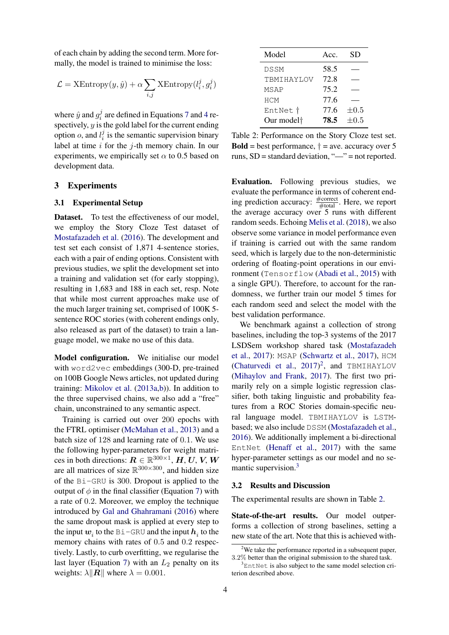of each chain by adding the second term. More formally, the model is trained to minimise the loss:

$$
\mathcal{L} = \text{XEntropy}(y, \hat{y}) + \alpha \sum_{i,j} \text{XEntropy}(l_i^j, g_i^j)
$$

where  $\hat{y}$  and  $g_i^j$  $i<sup>j</sup>$  are defined in Equations [7](#page-2-1) and [4](#page-2-2) respectively,  $y$  is the gold label for the current ending option *o*, and  $l_i^j$  $i$  is the semantic supervision binary label at time  $i$  for the  $j$ -th memory chain. In our experiments, we empirically set  $\alpha$  to 0.5 based on development data.

### 3 Experiments

### 3.1 Experimental Setup

Dataset. To test the effectiveness of our model, we employ the Story Cloze Test dataset of [Mostafazadeh et al.](#page-5-1) [\(2016\)](#page-5-1). The development and test set each consist of 1,871 4-sentence stories, each with a pair of ending options. Consistent with previous studies, we split the development set into a training and validation set (for early stopping), resulting in 1,683 and 188 in each set, resp. Note that while most current approaches make use of the much larger training set, comprised of 100K 5 sentence ROC stories (with coherent endings only, also released as part of the dataset) to train a language model, we make no use of this data.

Model configuration. We initialise our model with word2vec embeddings (300-D, pre-trained on 100B Google News articles, not updated during training: [Mikolov et al.](#page-5-12) [\(2013a,](#page-5-12)[b\)](#page-5-13)). In addition to the three supervised chains, we also add a "free" chain, unconstrained to any semantic aspect.

Training is carried out over 200 epochs with the FTRL optimiser [\(McMahan et al.,](#page-5-14) [2013\)](#page-5-14) and a batch size of 128 and learning rate of 0.1. We use the following hyper-parameters for weight matrices in both directions:  $\mathbf{R} \in \mathbb{R}^{300\times1}$ ,  $\mathbf{H}, \mathbf{U}, \mathbf{V}, \mathbf{W}$ are all matrices of size  $\mathbb{R}^{300\times300}$ , and hidden size of the Bi-GRU is 300. Dropout is applied to the output of  $\phi$  in the final classifier (Equation [7\)](#page-2-1) with a rate of 0.2. Moreover, we employ the technique introduced by [Gal and Ghahramani](#page-5-15) [\(2016\)](#page-5-15) where the same dropout mask is applied at every step to the input  $w_i$  to the Bi-GRU and the input  $h_i$  to the memory chains with rates of 0.5 and 0.2 respectively. Lastly, to curb overfitting, we regularise the last layer (Equation [7\)](#page-2-1) with an  $L_2$  penalty on its weights:  $\lambda$ || R|| where  $\lambda = 0.001$ .

| Model                  | Acc. | <b>SD</b> |
|------------------------|------|-----------|
| DSSM                   | 58.5 |           |
| TBMIHAYLOV             | 72.8 |           |
| <b>MSAP</b>            | 75.2 |           |
| <b>HCM</b>             | 77.6 |           |
| EntNet t               | 77.6 | $\pm 0.5$ |
| Our model <sup>+</sup> | 78.5 | $\pm 0.5$ |

<span id="page-3-2"></span>Table 2: Performance on the Story Cloze test set. **Bold** = best performance,  $\dagger$  = ave. accuracy over 5 runs,  $SD =$  standard deviation, " $\cdots$ " = not reported.

Evaluation. Following previous studies, we evaluate the performance in terms of coherent ending prediction accuracy:  $\frac{\text{\#correct}}{\text{\#total}}$ . Here, we report the average accuracy over 5 runs with different random seeds. Echoing [Melis et al.](#page-5-16) [\(2018\)](#page-5-16), we also observe some variance in model performance even if training is carried out with the same random seed, which is largely due to the non-deterministic ordering of floating-point operations in our environment (Tensorflow [\(Abadi et al.,](#page-5-17) [2015\)](#page-5-17) with a single GPU). Therefore, to account for the randomness, we further train our model 5 times for each random seed and select the model with the best validation performance.

We benchmark against a collection of strong baselines, including the top-3 systems of the 2017 LSDSem workshop shared task [\(Mostafazadeh](#page-6-4) [et al.,](#page-6-4) [2017\)](#page-6-4): MSAP [\(Schwartz et al.,](#page-6-3) [2017\)](#page-6-3), HCM [\(Chaturvedi et al.,](#page-5-2) [2017\)](#page-5-2) [2](#page-3-0) , and TBMIHAYLOV [\(Mihaylov and Frank,](#page-5-3) [2017\)](#page-5-3). The first two primarily rely on a simple logistic regression classifier, both taking linguistic and probability features from a ROC Stories domain-specific neural language model. TBMIHAYLOV is LSTMbased; we also include DSSM [\(Mostafazadeh et al.,](#page-5-1) [2016\)](#page-5-1). We additionally implement a bi-directional EntNet [\(Henaff et al.,](#page-5-5) [2017\)](#page-5-5) with the same hyper-parameter settings as our model and no se-mantic supervision.<sup>[3](#page-3-1)</sup>

#### 3.2 Results and Discussion

The experimental results are shown in Table [2.](#page-3-2)

State-of-the-art results. Our model outperforms a collection of strong baselines, setting a new state of the art. Note that this is achieved with-

<span id="page-3-0"></span><sup>&</sup>lt;sup>2</sup>We take the performance reported in a subsequent paper, 3.2% better than the original submission to the shared task.

<span id="page-3-1"></span> $3$ EntNet is also subject to the same model selection criterion described above.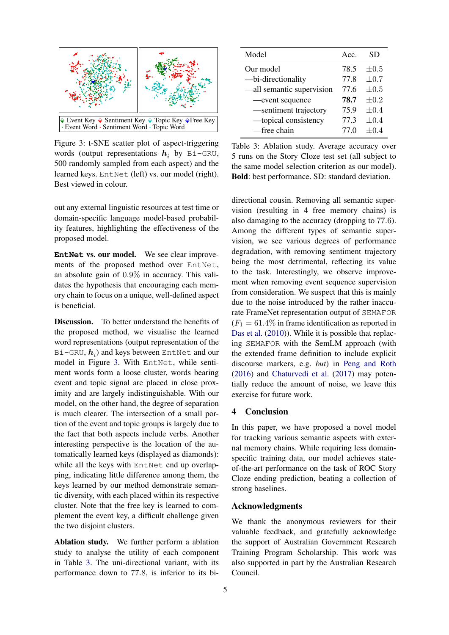

<span id="page-4-0"></span>Figure 3: t-SNE scatter plot of aspect-triggering words (output representations  $h_i$  by Bi-GRU, 500 randomly sampled from each aspect) and the learned keys. EntNet (left) vs. our model (right). Best viewed in colour.

out any external linguistic resources at test time or domain-specific language model-based probability features, highlighting the effectiveness of the proposed model.

**EntNet** vs. our model. We see clear improvements of the proposed method over EntNet, an absolute gain of 0.9% in accuracy. This validates the hypothesis that encouraging each memory chain to focus on a unique, well-defined aspect is beneficial.

Discussion. To better understand the benefits of the proposed method, we visualise the learned word representations (output representation of the <code>Bi–GRU</code>,  $\boldsymbol{h}_i$ ) and keys between <code>EntNet</code> and our model in Figure [3.](#page-4-0) With EntNet, while sentiment words form a loose cluster, words bearing event and topic signal are placed in close proximity and are largely indistinguishable. With our model, on the other hand, the degree of separation is much clearer. The intersection of a small portion of the event and topic groups is largely due to the fact that both aspects include verbs. Another interesting perspective is the location of the automatically learned keys (displayed as diamonds): while all the keys with EntNet end up overlapping, indicating little difference among them, the keys learned by our method demonstrate semantic diversity, with each placed within its respective cluster. Note that the free key is learned to complement the event key, a difficult challenge given the two disjoint clusters.

Ablation study. We further perform a ablation study to analyse the utility of each component in Table [3.](#page-4-1) The uni-directional variant, with its performance down to 77.8, is inferior to its bi-

| Model                     | Acc  | SD.       |
|---------------------------|------|-----------|
| Our model                 | 78.5 | $\pm 0.5$ |
| -bi-directionality        | 77.8 | $\pm 0.7$ |
| —all semantic supervision | 77.6 | $\pm 0.5$ |
| -event sequence           | 78.7 | $\pm 0.2$ |
| -sentiment trajectory     | 75.9 | $\pm 0.4$ |
| -topical consistency      | 77.3 | $\pm 0.4$ |
| —free chain               | 77.0 | $+0.4$    |

<span id="page-4-1"></span>Table 3: Ablation study. Average accuracy over 5 runs on the Story Cloze test set (all subject to the same model selection criterion as our model). Bold: best performance. SD: standard deviation.

directional cousin. Removing all semantic supervision (resulting in 4 free memory chains) is also damaging to the accuracy (dropping to 77.6). Among the different types of semantic supervision, we see various degrees of performance degradation, with removing sentiment trajectory being the most detrimental, reflecting its value to the task. Interestingly, we observe improvement when removing event sequence supervision from consideration. We suspect that this is mainly due to the noise introduced by the rather inaccurate FrameNet representation output of SEMAFOR  $(F_1 = 61.4\%$  in frame identification as reported in [Das et al.](#page-5-8) [\(2010\)](#page-5-8)). While it is possible that replacing SEMAFOR with the SemLM approach (with the extended frame definition to include explicit discourse markers, e.g. *but*) in [Peng and Roth](#page-6-5) [\(2016\)](#page-6-5) and [Chaturvedi et al.](#page-5-2) [\(2017\)](#page-5-2) may potentially reduce the amount of noise, we leave this exercise for future work.

# 4 Conclusion

In this paper, we have proposed a novel model for tracking various semantic aspects with external memory chains. While requiring less domainspecific training data, our model achieves stateof-the-art performance on the task of ROC Story Cloze ending prediction, beating a collection of strong baselines.

# Acknowledgments

We thank the anonymous reviewers for their valuable feedback, and gratefully acknowledge the support of Australian Government Research Training Program Scholarship. This work was also supported in part by the Australian Research Council.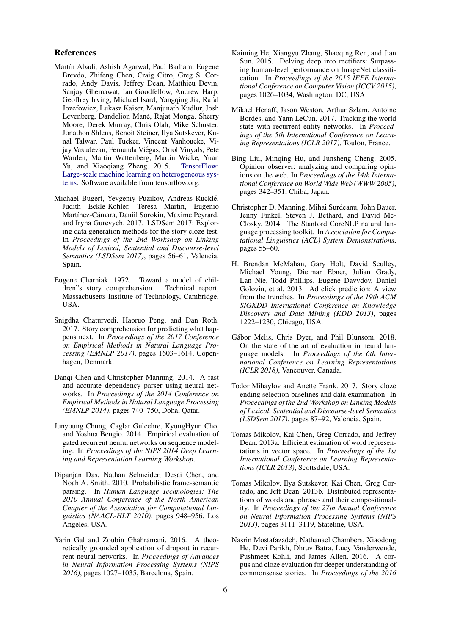#### References

- <span id="page-5-17"></span>Martín Abadi, Ashish Agarwal, Paul Barham, Eugene Brevdo, Zhifeng Chen, Craig Citro, Greg S. Corrado, Andy Davis, Jeffrey Dean, Matthieu Devin, Sanjay Ghemawat, Ian Goodfellow, Andrew Harp, Geoffrey Irving, Michael Isard, Yangqing Jia, Rafal Jozefowicz, Lukasz Kaiser, Manjunath Kudlur, Josh Levenberg, Dandelion Mané, Rajat Monga, Sherry Moore, Derek Murray, Chris Olah, Mike Schuster, Jonathon Shlens, Benoit Steiner, Ilya Sutskever, Kunal Talwar, Paul Tucker, Vincent Vanhoucke, Vijay Vasudevan, Fernanda Viegas, Oriol Vinyals, Pete ´ Warden, Martin Wattenberg, Martin Wicke, Yuan Yu, and Xiaoqiang Zheng. 2015. [TensorFlow:](https://www.tensorflow.org/) [Large-scale machine learning on heterogeneous sys](https://www.tensorflow.org/)[tems.](https://www.tensorflow.org/) Software available from tensorflow.org.
- <span id="page-5-4"></span>Michael Bugert, Yevgeniy Puzikov, Andreas Rücklé, Judith Eckle-Kohler, Teresa Martin, Eugenio Martínez-Cámara, Daniil Sorokin, Maxime Peyrard, and Iryna Gurevych. 2017. LSDSem 2017: Exploring data generation methods for the story cloze test. In *Proceedings of the 2nd Workshop on Linking Models of Lexical, Sentential and Discourse-level Semantics (LSDSem 2017)*, pages 56–61, Valencia, Spain.
- <span id="page-5-0"></span>Eugene Charniak. 1972. Toward a model of children"s story comprehension. Technical report, Massachusetts Institute of Technology, Cambridge, USA.
- <span id="page-5-2"></span>Snigdha Chaturvedi, Haoruo Peng, and Dan Roth. 2017. Story comprehension for predicting what happens next. In *Proceedings of the 2017 Conference on Empirical Methods in Natural Language Processing (EMNLP 2017)*, pages 1603–1614, Copenhagen, Denmark.
- <span id="page-5-11"></span>Danqi Chen and Christopher Manning. 2014. A fast and accurate dependency parser using neural networks. In *Proceedings of the 2014 Conference on Empirical Methods in Natural Language Processing (EMNLP 2014)*, pages 740–750, Doha, Qatar.
- <span id="page-5-6"></span>Junyoung Chung, Caglar Gulcehre, KyungHyun Cho, and Yoshua Bengio. 2014. Empirical evaluation of gated recurrent neural networks on sequence modeling. In *Proceedings of the NIPS 2014 Deep Learning and Representation Learning Workshop*.
- <span id="page-5-8"></span>Dipanjan Das, Nathan Schneider, Desai Chen, and Noah A. Smith. 2010. Probabilistic frame-semantic parsing. In *Human Language Technologies: The 2010 Annual Conference of the North American Chapter of the Association for Computational Linguistics (NAACL-HLT 2010)*, pages 948–956, Los Angeles, USA.
- <span id="page-5-15"></span>Yarin Gal and Zoubin Ghahramani. 2016. A theoretically grounded application of dropout in recurrent neural networks. In *Proceedings of Advances in Neural Information Processing Systems (NIPS 2016)*, pages 1027–1035, Barcelona, Spain.
- <span id="page-5-7"></span>Kaiming He, Xiangyu Zhang, Shaoqing Ren, and Jian Sun. 2015. Delving deep into rectifiers: Surpassing human-level performance on ImageNet classification. In *Proceedings of the 2015 IEEE International Conference on Computer Vision (ICCV 2015)*, pages 1026–1034, Washington, DC, USA.
- <span id="page-5-5"></span>Mikael Henaff, Jason Weston, Arthur Szlam, Antoine Bordes, and Yann LeCun. 2017. Tracking the world state with recurrent entity networks. In *Proceedings of the 5th International Conference on Learning Representations (ICLR 2017)*, Toulon, France.
- <span id="page-5-9"></span>Bing Liu, Minqing Hu, and Junsheng Cheng. 2005. Opinion observer: analyzing and comparing opinions on the web. In *Proceedings of the 14th International Conference on World Wide Web (WWW 2005)*, pages 342–351, Chiba, Japan.
- <span id="page-5-10"></span>Christopher D. Manning, Mihai Surdeanu, John Bauer, Jenny Finkel, Steven J. Bethard, and David Mc-Closky. 2014. The Stanford CoreNLP natural language processing toolkit. In *Association for Computational Linguistics (ACL) System Demonstrations*, pages 55–60.
- <span id="page-5-14"></span>H. Brendan McMahan, Gary Holt, David Sculley, Michael Young, Dietmar Ebner, Julian Grady, Lan Nie, Todd Phillips, Eugene Davydov, Daniel Golovin, et al. 2013. Ad click prediction: A view from the trenches. In *Proceedings of the 19th ACM SIGKDD International Conference on Knowledge Discovery and Data Mining (KDD 2013)*, pages 1222–1230, Chicago, USA.
- <span id="page-5-16"></span>Gábor Melis, Chris Dyer, and Phil Blunsom. 2018. On the state of the art of evaluation in neural language models. In *Proceedings of the 6th International Conference on Learning Representations (ICLR 2018)*, Vancouver, Canada.
- <span id="page-5-3"></span>Todor Mihaylov and Anette Frank. 2017. Story cloze ending selection baselines and data examination. In *Proceedings of the 2nd Workshop on Linking Models of Lexical, Sentential and Discourse-level Semantics (LSDSem 2017)*, pages 87–92, Valencia, Spain.
- <span id="page-5-12"></span>Tomas Mikolov, Kai Chen, Greg Corrado, and Jeffrey Dean. 2013a. Efficient estimation of word representations in vector space. In *Proceedings of the 1st International Conference on Learning Representations (ICLR 2013)*, Scottsdale, USA.
- <span id="page-5-13"></span>Tomas Mikolov, Ilya Sutskever, Kai Chen, Greg Corrado, and Jeff Dean. 2013b. Distributed representations of words and phrases and their compositionality. In *Proceedings of the 27th Annual Conference on Neural Information Processing Systems (NIPS 2013)*, pages 3111–3119, Stateline, USA.
- <span id="page-5-1"></span>Nasrin Mostafazadeh, Nathanael Chambers, Xiaodong He, Devi Parikh, Dhruv Batra, Lucy Vanderwende, Pushmeet Kohli, and James Allen. 2016. A corpus and cloze evaluation for deeper understanding of commonsense stories. In *Proceedings of the 2016*